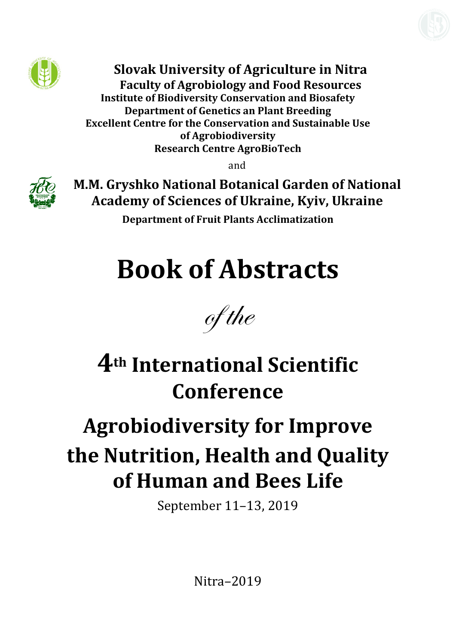

**Slovak University of Agriculture in Nitra Faculty of Agrobiology and Food Resources Institute of Biodiversity Conservation and Biosafety Department of Genetics an Plant Breeding Excellent Centre for the Conservation and Sustainable Use of Agrobiodiversity Research Centre AgroBioTech**

and



**M.M. Gryshko National Botanical Garden of National Academy of Sciences of Ukraine, Kyiv, Ukraine**

**Department of Fruit Plants Acclimatization** 

# **Book of Abstracts**



## **4th International Scientific Conference**

# **Agrobiodiversity for Improve the Nutrition, Health and Quality of Human and Bees Life**

September 11–13, 2019

Nitra–2019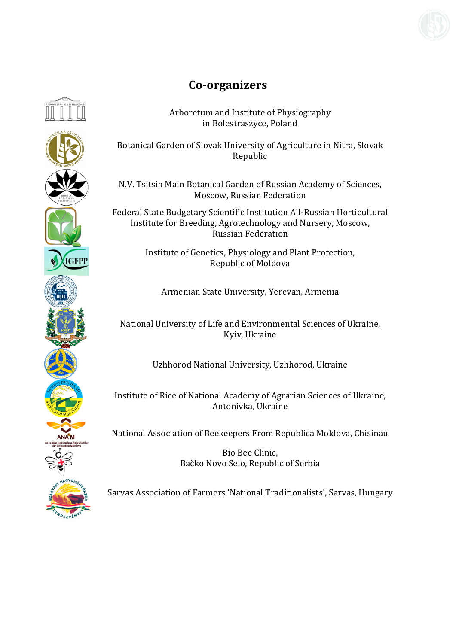

### **Co‐organizers**

Arboretum and Institute of Physiography in Bolestraszyce, Poland

Botanical Garden of Slovak University of Agriculture in Nitra, Slovak Republic

N.V. Tsitsin Main Botanical Garden of Russian Academy of Sciences, Moscow, Russian Federation

Federal State Budgetary Scientific Institution All-Russian Horticultural Institute for Breeding, Agrotechnology and Nursery, Moscow, Russian Federation

> Institute of Genetics, Physiology and Plant Protection, Republic of Moldova

Armenian State University, Yerevan, Armenia

National University of Life and Environmental Sciences of Ukraine, Kyiv, Ukraine

Uzhhorod National University, Uzhhorod, Ukraine

Institute of Rice of National Academy of Agrarian Sciences of Ukraine, Antonivka, Ukraine

National Association of Beekeepers From Republica Moldova, Chisinau

Bio Bee Clinic, Bačko Novo Selo, Republic of Serbia

Sarvas Association of Farmers 'National Traditionalists', Sarvas, Hungary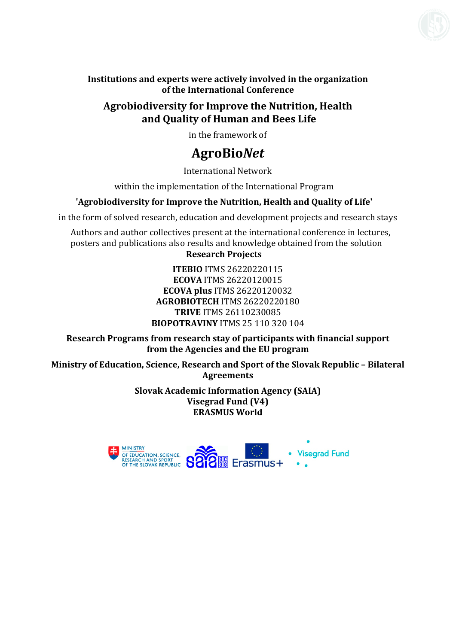

**Institutions and experts were actively involved in the organization of the International Conference**

#### **Agrobiodiversity for Improve the Nutrition, Health and Quality of Human and Bees Life**

in the framework of

### **АgroBio***Net*

International Network

within the implementation of the International Program

#### **'Agrobiodiversity for Improve the Nutrition, Health and Quality of Life'**

in the form of solved research, education and development projects and research stays

Authors and author collectives present at the international conference in lectures, posters and publications also results and knowledge obtained from the solution **Research Projects** 

#### **ITEBIO** ITMS 26220220115 **ECOVA** ITMS 26220120015 **ECOVA plus** ITMS 26220120032 **АGROBIOTECH** ITMS 26220220180 **TRIVE** ITMS 26110230085 **BIOPOTRAVINY** ITMS 25 110 320 104

**Research Programs from research stay of participants with financial support from the Agencies and the EU program**

**Ministry of Education, Science, Research and Sport of the Slovak Republic – Bilateral Agreements**

> **Slovak Academic Information Agency (SAIA) Visegrad Fund (V4) ERASMUS World**

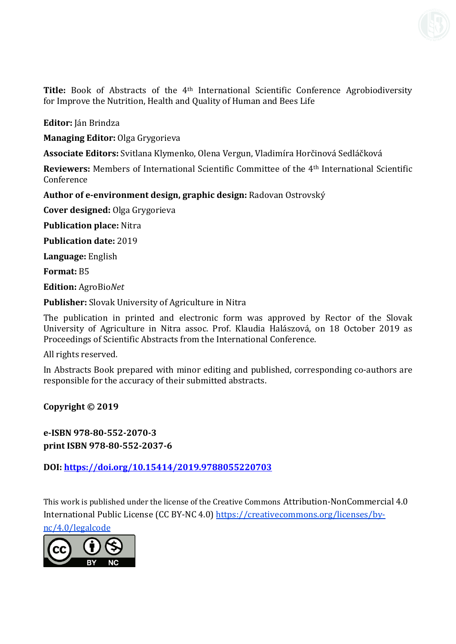**Title:** Book of Abstracts of the 4th International Scientific Conference Agrobiodiversity for Improve the Nutrition, Health and Quality of Human and Bees Life

**Editor:** Ján Brindza

**Managing Editor:** Olga Grygorieva

**Associate Editors:** Svitlana Klymenko, Olena Vergun, Vladimíra Horčinová Sedláčková

**Reviewers:** Members of International Scientific Committee of the 4th International Scientific Conference

**Author of e‐environment design, graphic design:** Radovan Ostrovský

**Cover designed:** Olga Grygorieva

**Publication place:** Nitra

**Publication date:** 2019

**Language:** English

**Format:** B5

**Edition:** AgroBio*Net*

**Publisher:** Slovak University of Agriculture in Nitra

The publication in printed and electronic form was approved by Rector of the Slovak University of Agriculture in Nitra assoc. Prof. Klaudia Halászová, on 18 October 2019 as Proceedings of Scientific Abstracts from the International Conference.

All rights reserved.

In Abstracts Book prepared with minor editing and published, corresponding co-authors are responsible for the accuracy of their submitted abstracts.

**Copyright © 2019** 

**e‐ISBN 978‐80‐552‐2070‐3 print ISBN 978‐80‐552‐2037‐6** 

**DOI: https://doi.org/10.15414/2019.9788055220703**

This work is published under the license of the Creative Commons Attribution-NonCommercial 4.0 International Public License (CC BY-NC 4.0) https://creativecommons.org/licenses/bync/4.0/legalcode

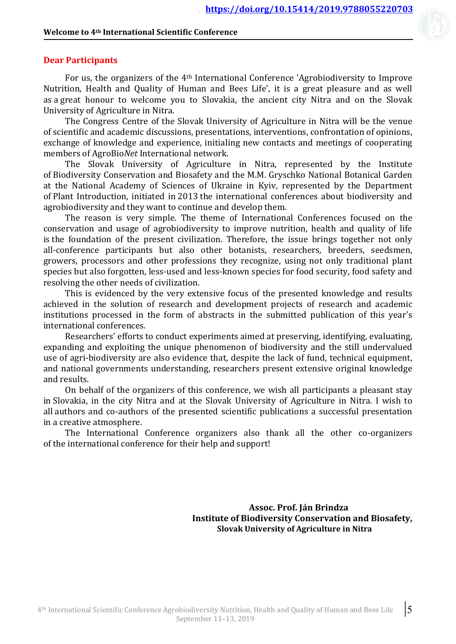#### **Welcome to 4th International Scientific Conference**

#### **Dear Participants**

For us, the organizers of the 4th International Conference 'Agrobiodiversity to Improve Nutrition, Health and Quality of Human and Bees Life', it is a great pleasure and as well as a great honour to welcome you to Slovakia, the ancient city Nitra and on the Slovak University of Agriculture in Nitra.

The Congress Centre of the Slovak University of Agriculture in Nitra will be the venue of scientific and academic discussions, presentations, interventions, confrontation of opinions, exchange of knowledge and experience, initialing new contacts and meetings of cooperating members of AgroBio*Net* International network.

The Slovak University of Agriculture in Nitra, represented by the Institute of Biodiversity Conservation and Biosafety and the M.M. Gryschko National Botanical Garden at the National Academy of Sciences of Ukraine in Kyiv, represented by the Department of Plant Introduction, initiated in 2013 the international conferences about biodiversity and agrobiodiversity and they want to continue and develop them.

The reason is very simple. The theme of International Conferences focused on the conservation and usage of agrobiodiversity to improve nutrition, health and quality of life is the foundation of the present civilization. Therefore, the issue brings together not only all-conference participants but also other botanists, researchers, breeders, seedsmen, growers, processors and other professions they recognize, using not only traditional plant species but also forgotten, less-used and less-known species for food security, food safety and resolving the other needs of civilization.

This is evidenced by the very extensive focus of the presented knowledge and results achieved in the solution of research and development projects of research and academic institutions processed in the form of abstracts in the submitted publication of this year's international conferences.

Researchers' efforts to conduct experiments aimed at preserving, identifying, evaluating, expanding and exploiting the unique phenomenon of biodiversity and the still undervalued use of agri-biodiversity are also evidence that, despite the lack of fund, technical equipment, and national governments understanding, researchers present extensive original knowledge and results.

On behalf of the organizers of this conference, we wish all participants a pleasant stay in Slovakia, in the city Nitra and at the Slovak University of Agriculture in Nitra. I wish to all authors and co-authors of the presented scientific publications a successful presentation in a creative atmosphere.

The International Conference organizers also thank all the other co-organizers of the international conference for their help and support!

> **Assoc.** Prof. Ján Brindza **Institute of Biodiversity Conservation and Biosafety, Slovak University of Agriculture in Nitra**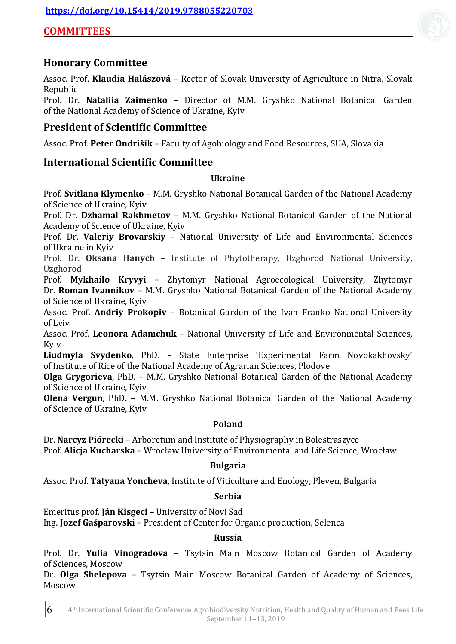#### **COMMITTEES**

#### **Honorary Committee**

Assoc. Prof. **Klaudia Halászová** – Rector of Slovak University of Agriculture in Nitra, Slovak Republic

Prof. Dr. **Nataliia Zaimenko** – Director of M.M. Gryshko National Botanical Garden of the National Academy of Science of Ukraine, Kyiv

#### **President of Scientific Committee**

Assoc. Prof. **Peter Ondrišík** – Faculty of Agobiology and Food Resources, SUA, Slovakia

#### **International Scientific Committee**

#### **Ukraine**

Prof. **Svitlana Klymenko** – M.M. Gryshko National Botanical Garden of the National Academy of Science of Ukraine, Kyiv

Prof. Dr. **Dzhamal Rakhmetov** – M.M. Gryshko National Botanical Garden of the National Academy of Science of Ukraine, Kyiv

Prof. Dr. **Valeriy Brovarskiy** – National University of Life and Environmental Sciences of Ukraine in Kyiv

Prof. Dr. **Oksana Hanych** – Institute of Phytotherapy, Uzghorod National University, Uzghorod

Prof. **Mykhailo Kryvyi** – Zhytomyr National Agroecological University, Zhytomyr Dr. **Roman Ivannikov** – M.M. Gryshko National Botanical Garden of the National Academy of Science of Ukraine, Kyiv

Assoc. Prof. **Andriy Prokopiv** – Botanical Garden of the Ivan Franko National University of Lviv

Assoc. Prof. **Leonora Adamchuk** – National University of Life and Environmental Sciences, Kyiv

**Liudmyla Svydenko**, PhD. – State Enterprise 'Experimental Farm Novokakhovsky' of Institute of Rice of the National Academy of Agrarian Sciences, Plodove

**Olga Grygorieva**, PhD. – M.M. Gryshko National Botanical Garden of the National Academy of Science of Ukraine, Kyiv

**Olena Vergun**, PhD. – M.M. Gryshko National Botanical Garden of the National Academy of Science of Ukraine, Kyiv

#### **Poland**

Dr. **Narcyz Piórecki** – Arboretum and Institute of Physiography in Bolestraszyce Prof. **Alicja Kucharska** – Wrocław University of Environmental and Life Science, Wrocław

#### **Bulgaria**

Assoc. Prof. **Tatyana Yoncheva**, Institute of Viticulture and Enology, Pleven, Bulgaria

#### **Serbia**

Emeritus prof. **Ján Kisgeci** – University of Novi Sad Ing. **Jozef Gašparovski** – President of Center for Organic production, Selenca

#### **Russia**

Prof. Dr. **Yulia Vinogradova** – Tsytsin Main Moscow Botanical Garden of Academy of Sciences, Moscow

Dr. **Olga Shelepova** – Tsytsin Main Moscow Botanical Garden of Academy of Sciences, Moscow